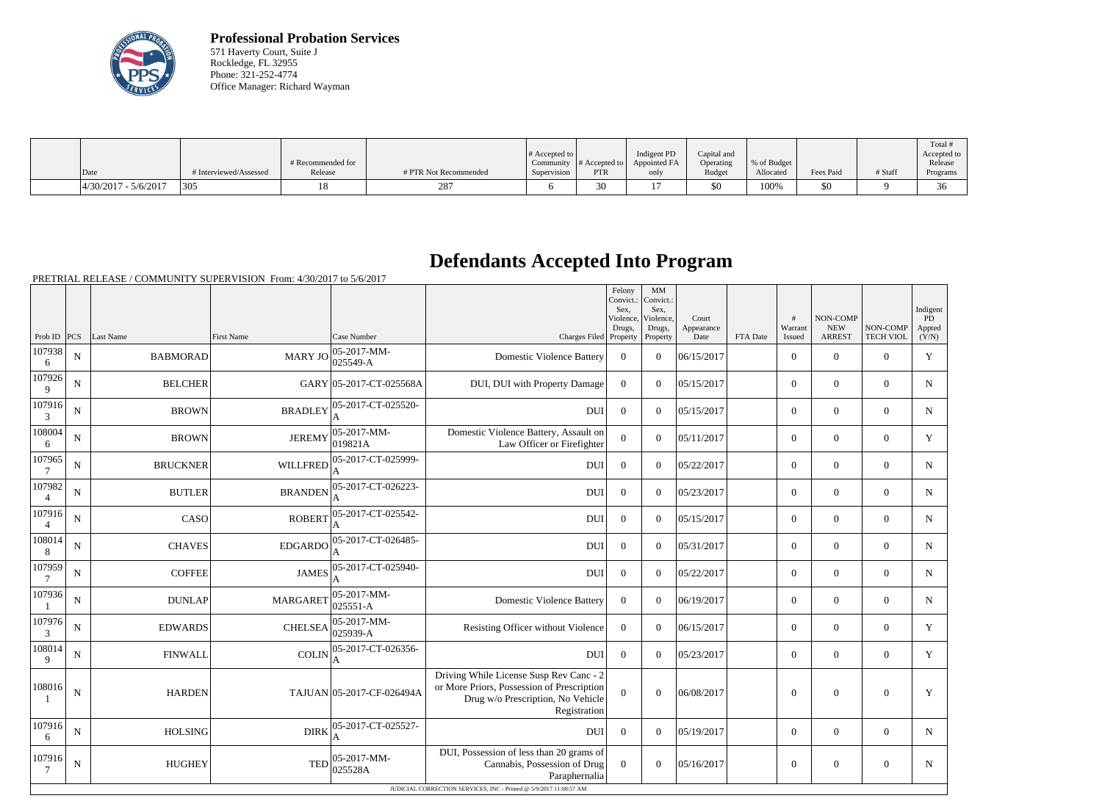

**Professional Probation Services** 571 Haverty Court, Suite J Rockledge, FL 32955 Phone: 321-252-4774 Office Manager: Richard Wayman

|                      |                        |                   |                       |                  |               |              |               |             |           |         | Total       |
|----------------------|------------------------|-------------------|-----------------------|------------------|---------------|--------------|---------------|-------------|-----------|---------|-------------|
|                      |                        |                   |                       | $\#$ Accepted to |               | Indigent PD  | Capital and   |             |           |         | Accepted to |
|                      |                        | # Recommended for |                       | Community        | # Accepted to | Appointed FA | Operating     | % of Budget |           |         | Release     |
| Date                 | # Interviewed/Assessed | Release           | # PTR Not Recommended | Supervision      | <b>PTR</b>    | only         | <b>Budget</b> | Allocated   | Fees Paid | # Staff | Programs    |
| 4/30/2017 - 5/6/2017 | 305                    |                   | 287                   |                  | 30            |              | \$0           | 100%        | 50        |         | $\sim$      |

## **Defendants Accepted Into Program**

PRETRIAL RELEASE / COMMUNITY SUPERVISION From: 4/30/2017 to 5/6/2017

|                           |             |                 |                   |                           |                                                                                                                                                                 | Felony<br>Convict.: Convict.:<br>Sex.<br>Violence,<br>Drugs, | MM<br>Sex,<br>Violence,<br>Drugs, | Court<br>Appearance |          | #<br>Warrant   | NON-COMP<br><b>NEW</b> | NON-COMP         | Indigent<br>PD<br>Appted |
|---------------------------|-------------|-----------------|-------------------|---------------------------|-----------------------------------------------------------------------------------------------------------------------------------------------------------------|--------------------------------------------------------------|-----------------------------------|---------------------|----------|----------------|------------------------|------------------|--------------------------|
| Prob ID $ PCS $           |             | Last Name       | <b>First Name</b> | Case Number               | Charges Filed Property                                                                                                                                          |                                                              | Property                          | Date                | FTA Date | Issued         | <b>ARREST</b>          | <b>TECH VIOL</b> | (Y/N)                    |
| 107938<br>6               | $\mathbf N$ | <b>BABMORAD</b> | MARY JO           | 05-2017-MM-<br>025549-A   | <b>Domestic Violence Battery</b>                                                                                                                                | $\theta$                                                     | $\theta$                          | 06/15/2017          |          | $\overline{0}$ | $\Omega$               | $\overline{0}$   | Y                        |
| 107926<br>9               | $\mathbf N$ | <b>BELCHER</b>  |                   | GARY 05-2017-CT-025568A   | DUI, DUI with Property Damage                                                                                                                                   | $\mathbf{0}$                                                 | $\theta$                          | 05/15/2017          |          | $\overline{0}$ | $\Omega$               | $\overline{0}$   | $\mathbf N$              |
| 107916<br>3               | $\mathbf N$ | <b>BROWN</b>    | <b>BRADLEY</b>    | 05-2017-CT-025520-<br>A   | <b>DUI</b>                                                                                                                                                      | $\mathbf{0}$                                                 | $\theta$                          | 05/15/2017          |          | $\overline{0}$ | $\Omega$               | $\theta$         | $\mathbf N$              |
| 108004<br>6               | $\mathbf N$ | <b>BROWN</b>    | <b>JEREMY</b>     | 05-2017-MM-<br>019821A    | Domestic Violence Battery, Assault on<br>Law Officer or Firefighter                                                                                             | $\overline{0}$                                               | $\theta$                          | 05/11/2017          |          | $\overline{0}$ | $\Omega$               | $\overline{0}$   | Y                        |
| 107965<br>$7\phantom{.0}$ | $\mathbf N$ | <b>BRUCKNER</b> | <b>WILLFRED</b>   | 05-2017-CT-025999-<br>A   | <b>DUI</b>                                                                                                                                                      | $\overline{0}$                                               | $\theta$                          | 05/22/2017          |          | $\overline{0}$ | $\Omega$               | $\theta$         | ${\bf N}$                |
| 107982<br>$\overline{4}$  | $\mathbf N$ | <b>BUTLER</b>   | <b>BRANDEN</b>    | 05-2017-CT-026223-        | <b>DUI</b>                                                                                                                                                      | $\theta$                                                     | $\theta$                          | 05/23/2017          |          | $\overline{0}$ | $\Omega$               | $\theta$         | $\mathbf N$              |
| 107916<br>$\overline{4}$  | N           | CASO            | <b>ROBERT</b>     | 05-2017-CT-025542-        | <b>DUI</b>                                                                                                                                                      | $\overline{0}$                                               | $\theta$                          | 05/15/2017          |          | $\overline{0}$ | $\mathbf{0}$           | $\theta$         | $\mathbf N$              |
| 108014<br>8               | N           | <b>CHAVES</b>   | EDGARDO           | 05-2017-CT-026485-        | <b>DUI</b>                                                                                                                                                      | $\overline{0}$                                               | $\theta$                          | 05/31/2017          |          | $\overline{0}$ | $\mathbf{0}$           | $\theta$         | N                        |
| 107959<br>$7\phantom{.0}$ | $\mathbf N$ | <b>COFFEE</b>   | <b>JAMES</b>      | 05-2017-CT-025940-        | <b>DUI</b>                                                                                                                                                      | $\overline{0}$                                               | $\theta$                          | 05/22/2017          |          | $\overline{0}$ | $\mathbf{0}$           | $\Omega$         | N                        |
| 107936                    | N           | <b>DUNLAP</b>   | <b>MARGARET</b>   | 05-2017-MM-<br>025551-A   | <b>Domestic Violence Battery</b>                                                                                                                                | $\Omega$                                                     | $\theta$                          | 06/19/2017          |          | $\overline{0}$ | $\mathbf{0}$           | $\overline{0}$   | N                        |
| 107976<br>3               | N           | <b>EDWARDS</b>  | <b>CHELSEA</b>    | 05-2017-MM-<br>025939-A   | Resisting Officer without Violence                                                                                                                              | $\overline{0}$                                               | $\theta$                          | 06/15/2017          |          | $\overline{0}$ | $\mathbf{0}$           | $\overline{0}$   | Y                        |
| 108014<br>9               | N           | <b>FINWALL</b>  | <b>COLIN</b>      | 05-2017-CT-026356-        | <b>DUI</b>                                                                                                                                                      | $\overline{0}$                                               | $\theta$                          | 05/23/2017          |          | $\overline{0}$ | $\mathbf{0}$           | $\overline{0}$   | Y                        |
| 108016                    | N           | <b>HARDEN</b>   |                   | TAJUAN 05-2017-CF-026494A | Driving While License Susp Rev Canc - 2<br>or More Priors, Possession of Prescription<br>Drug w/o Prescription, No Vehicle<br>Registration                      | $\Omega$                                                     | $\theta$                          | 06/08/2017          |          | $\theta$       | $\Omega$               | $\overline{0}$   | Y                        |
| 107916<br>6               | $\mathbf N$ | <b>HOLSING</b>  | <b>DIRK</b>       | 05-2017-CT-025527-        | <b>DUI</b>                                                                                                                                                      | $\overline{0}$                                               | $\Omega$                          | 05/19/2017          |          | $\overline{0}$ | $\boldsymbol{0}$       | $\mathbf{0}$     | N                        |
| 107916<br>$\tau$          | $\mathbf N$ | <b>HUGHEY</b>   | <b>TED</b>        | 05-2017-MM-<br>025528A    | DUI, Possession of less than 20 grams of<br>Cannabis, Possession of Drug<br>Paraphernalia<br>JUDICIAL CORRECTION SERVICES, INC - Printed @ 5/9/2017 11:08:57 AM | $\overline{0}$                                               | $\theta$                          | 05/16/2017          |          | $\overline{0}$ | $\Omega$               | $\overline{0}$   | $\mathbf N$              |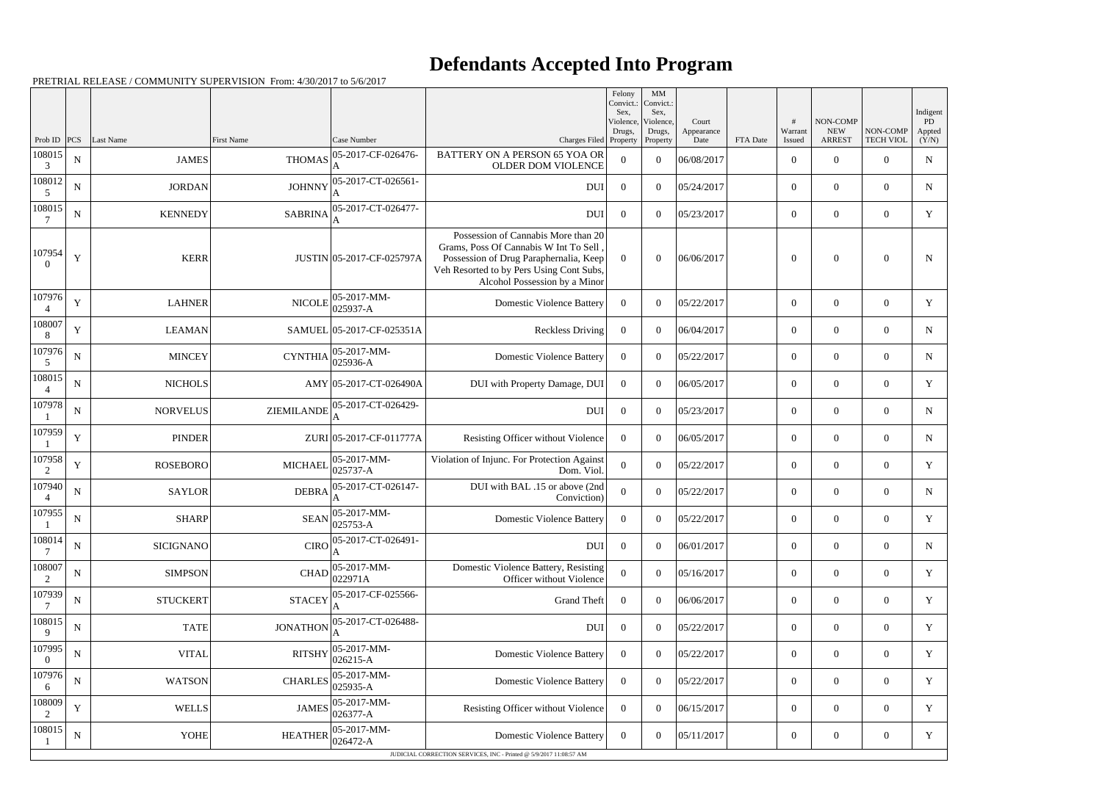## **Defendants Accepted Into Program**

PRETRIAL RELEASE / COMMUNITY SUPERVISION From: 4/30/2017 to 5/6/2017

|                          |             |                  |                 |                             |                                                                                                                                                                                                     | Felony<br>Convict.:<br>Sex. | MM<br>Convict.:<br>Sex,         |                             |          |                   |                                         |                              | Indigent                     |
|--------------------------|-------------|------------------|-----------------|-----------------------------|-----------------------------------------------------------------------------------------------------------------------------------------------------------------------------------------------------|-----------------------------|---------------------------------|-----------------------------|----------|-------------------|-----------------------------------------|------------------------------|------------------------------|
| Prob ID                  | PCS         | Last Name        | First Name      | Case Number                 | Charges Filed Property                                                                                                                                                                              | Violence,<br>Drugs,         | Violence,<br>Drugs,<br>Property | Court<br>Appearance<br>Date | FTA Date | Warrant<br>Issued | NON-COMP<br><b>NEW</b><br><b>ARREST</b> | NON-COMP<br><b>TECH VIOL</b> | <b>PD</b><br>Appted<br>(Y/N) |
| 108015<br>3              | ${\bf N}$   | <b>JAMES</b>     | <b>THOMAS</b>   | 05-2017-CF-026476-          | <b>BATTERY ON A PERSON 65 YOA OR</b><br><b>OLDER DOM VIOLENCE</b>                                                                                                                                   | $\theta$                    | $\Omega$                        | 06/08/2017                  |          | $\overline{0}$    | $\Omega$                                | $\Omega$                     | $\mathbf N$                  |
| 108012<br>5              | N           | <b>JORDAN</b>    | <b>JOHNNY</b>   | 05-2017-CT-026561-          | <b>DUI</b>                                                                                                                                                                                          | $\overline{0}$              | $\Omega$                        | 05/24/2017                  |          | $\overline{0}$    | $\overline{0}$                          | $\Omega$                     | N                            |
| 108015<br>7              | $\mathbf N$ | <b>KENNEDY</b>   | <b>SABRINA</b>  | 05-2017-CT-026477-          | <b>DUI</b>                                                                                                                                                                                          | $\overline{0}$              | $\Omega$                        | 05/23/2017                  |          | $\overline{0}$    | $\Omega$                                | $\theta$                     | Y                            |
| 107954                   | Y           | <b>KERR</b>      |                 | JUSTIN 05-2017-CF-025797A   | Possession of Cannabis More than 20<br>Grams, Poss Of Cannabis W Int To Sell<br>Possession of Drug Paraphernalia, Keep<br>Veh Resorted to by Pers Using Cont Subs,<br>Alcohol Possession by a Minor | $\overline{0}$              | $\theta$                        | 06/06/2017                  |          | $\overline{0}$    | $\overline{0}$                          | $\theta$                     | N                            |
| 107976                   | Y           | <b>LAHNER</b>    | <b>NICOLE</b>   | 05-2017-MM-<br>025937-A     | <b>Domestic Violence Battery</b>                                                                                                                                                                    | $\overline{0}$              | $\theta$                        | 05/22/2017                  |          | $\boldsymbol{0}$  | $\overline{0}$                          | $\theta$                     | Y                            |
| 108007                   | Y           | <b>LEAMAN</b>    |                 | SAMUEL 05-2017-CF-025351A   | <b>Reckless Driving</b>                                                                                                                                                                             | $\overline{0}$              | $\overline{0}$                  | 06/04/2017                  |          | $\boldsymbol{0}$  | $\overline{0}$                          | $\Omega$                     | N                            |
| 107976<br>5              | N           | <b>MINCEY</b>    | <b>CYNTHIA</b>  | 05-2017-MM-<br>025936-A     | <b>Domestic Violence Battery</b>                                                                                                                                                                    | $\overline{0}$              | $\theta$                        | 05/22/2017                  |          | $\boldsymbol{0}$  | $\overline{0}$                          | $\overline{0}$               | N                            |
| 108015                   | N           | <b>NICHOLS</b>   |                 | AMY 05-2017-CT-026490A      | DUI with Property Damage, DUI                                                                                                                                                                       | $\overline{0}$              | $\overline{0}$                  | 06/05/2017                  |          | $\overline{0}$    | $\overline{0}$                          | $\overline{0}$               | Y                            |
| 107978                   | N           | <b>NORVELUS</b>  | ZIEMILANDE      | 05-2017-CT-026429-          | DUI                                                                                                                                                                                                 | $\overline{0}$              | $\theta$                        | 05/23/2017                  |          | $\boldsymbol{0}$  | $\overline{0}$                          | $\overline{0}$               | N                            |
| 107959                   | Y           | <b>PINDER</b>    |                 | ZURI 05-2017-CF-011777A     | Resisting Officer without Violence                                                                                                                                                                  | $\overline{0}$              | $\overline{0}$                  | 06/05/2017                  |          | $\boldsymbol{0}$  | $\overline{0}$                          | $\Omega$                     | N                            |
| 107958<br>2              | Y           | <b>ROSEBORO</b>  | <b>MICHAEL</b>  | 05-2017-MM-<br>025737-A     | Violation of Injunc. For Protection Against<br>Dom. Viol.                                                                                                                                           | $\boldsymbol{0}$            | $\theta$                        | 05/22/2017                  |          | $\boldsymbol{0}$  | $\overline{0}$                          | $\overline{0}$               | Y                            |
| 107940                   | $\mathbf N$ | <b>SAYLOR</b>    | <b>DEBRA</b>    | 05-2017-CT-026147-          | DUI with BAL .15 or above (2nd<br>Conviction)                                                                                                                                                       | $\overline{0}$              | $\overline{0}$                  | 05/22/2017                  |          | $\overline{0}$    | $\overline{0}$                          | $\overline{0}$               | N                            |
| 107955                   | ${\bf N}$   | <b>SHARP</b>     | <b>SEAN</b>     | 05-2017-MM-<br>025753-A     | <b>Domestic Violence Battery</b>                                                                                                                                                                    | $\overline{0}$              | $\Omega$                        | 05/22/2017                  |          | $\overline{0}$    | $\overline{0}$                          | $\overline{0}$               | Y                            |
| 108014<br>$\overline{7}$ | ${\bf N}$   | <b>SICIGNANO</b> |                 | $CIRO$ 05-2017-CT-026491-   | DUI                                                                                                                                                                                                 | $\boldsymbol{0}$            | $\mathbf{0}$                    | 06/01/2017                  |          | $\boldsymbol{0}$  | $\boldsymbol{0}$                        | $\boldsymbol{0}$             | N                            |
| 108007<br>2              | ${\bf N}$   | <b>SIMPSON</b>   | CHAD            | 05-2017-MM-<br>022971A      | Domestic Violence Battery, Resisting<br>Officer without Violence                                                                                                                                    | $\mathbf{0}$                | $\boldsymbol{0}$                | 05/16/2017                  |          | $\overline{0}$    | $\boldsymbol{0}$                        | $\overline{0}$               | Y                            |
| 107939                   | N           | <b>STUCKERT</b>  | <b>STACEY</b>   | 05-2017-CF-025566-          | <b>Grand Theft</b>                                                                                                                                                                                  | $\overline{0}$              | $\overline{0}$                  | 06/06/2017                  |          | $\overline{0}$    | $\boldsymbol{0}$                        | $\overline{0}$               | Y                            |
| 108015<br>9              | ${\bf N}$   | <b>TATE</b>      | <b>JONATHON</b> | 05-2017-CT-026488-          | DUI                                                                                                                                                                                                 | $\overline{0}$              | $\boldsymbol{0}$                | 05/22/2017                  |          | $\boldsymbol{0}$  | $\boldsymbol{0}$                        | $\overline{0}$               | Y                            |
| 107995                   | $\mathbf N$ | <b>VITAL</b>     | <b>RITSHY</b>   | 05-2017-MM-<br>026215-A     | <b>Domestic Violence Battery</b>                                                                                                                                                                    | $\overline{0}$              | $\overline{0}$                  | 05/22/2017                  |          | $\boldsymbol{0}$  | $\boldsymbol{0}$                        | $\overline{0}$               | Y                            |
| 107976<br>6              | N           | <b>WATSON</b>    | <b>CHARLES</b>  | 05-2017-MM-<br>025935-A     | <b>Domestic Violence Battery</b>                                                                                                                                                                    | $\overline{0}$              | $\Omega$                        | 05/22/2017                  |          | $\overline{0}$    | $\boldsymbol{0}$                        | $\overline{0}$               | Y                            |
| 108009<br>$\overline{2}$ | Y           | <b>WELLS</b>     | <b>JAMES</b>    | 05-2017-MM-<br>$026377 - A$ | Resisting Officer without Violence                                                                                                                                                                  | $\bf{0}$                    | $\overline{0}$                  | 06/15/2017                  |          | $\overline{0}$    | $\boldsymbol{0}$                        | $\overline{0}$               | Y                            |
| 108015                   | ${\bf N}$   | <b>YOHE</b>      | <b>HEATHER</b>  | 05-2017-MM-<br>026472-A     | <b>Domestic Violence Battery</b>                                                                                                                                                                    | $\bf{0}$                    | $\boldsymbol{0}$                | 05/11/2017                  |          | $\overline{0}$    | $\boldsymbol{0}$                        | $\overline{0}$               | Y                            |
|                          |             |                  |                 |                             | JUDICIAL CORRECTION SERVICES, INC - Printed @ 5/9/2017 11:08:57 AM                                                                                                                                  |                             |                                 |                             |          |                   |                                         |                              |                              |